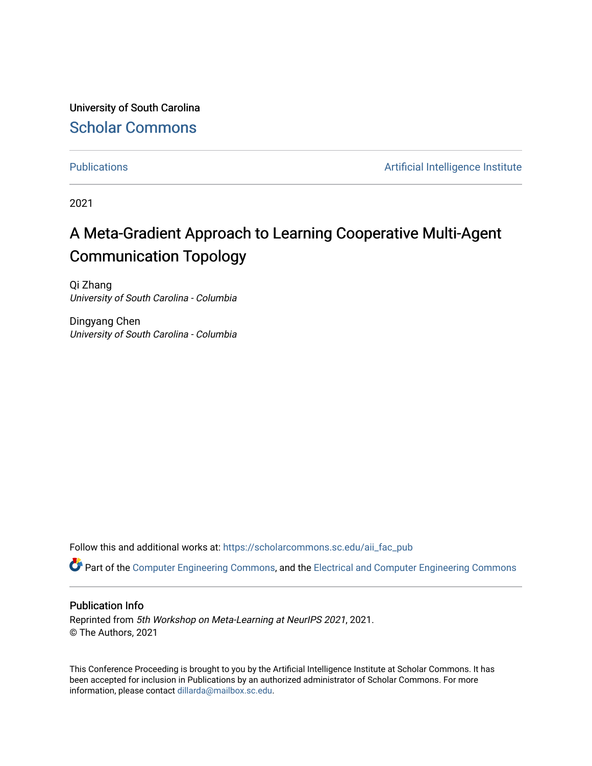University of South Carolina [Scholar Commons](https://scholarcommons.sc.edu/) 

[Publications](https://scholarcommons.sc.edu/aii_fac_pub) **Artificial Intelligence Institute Artificial Intelligence Institute** 

2021

# A Meta-Gradient Approach to Learning Cooperative Multi-Agent Communication Topology

Qi Zhang University of South Carolina - Columbia

Dingyang Chen University of South Carolina - Columbia

Follow this and additional works at: [https://scholarcommons.sc.edu/aii\\_fac\\_pub](https://scholarcommons.sc.edu/aii_fac_pub?utm_source=scholarcommons.sc.edu%2Faii_fac_pub%2F534&utm_medium=PDF&utm_campaign=PDFCoverPages)

Part of the [Computer Engineering Commons,](http://network.bepress.com/hgg/discipline/258?utm_source=scholarcommons.sc.edu%2Faii_fac_pub%2F534&utm_medium=PDF&utm_campaign=PDFCoverPages) and the [Electrical and Computer Engineering Commons](http://network.bepress.com/hgg/discipline/266?utm_source=scholarcommons.sc.edu%2Faii_fac_pub%2F534&utm_medium=PDF&utm_campaign=PDFCoverPages)

# Publication Info

Reprinted from 5th Workshop on Meta-Learning at NeurIPS 2021, 2021. © The Authors, 2021

This Conference Proceeding is brought to you by the Artificial Intelligence Institute at Scholar Commons. It has been accepted for inclusion in Publications by an authorized administrator of Scholar Commons. For more information, please contact [dillarda@mailbox.sc.edu.](mailto:dillarda@mailbox.sc.edu)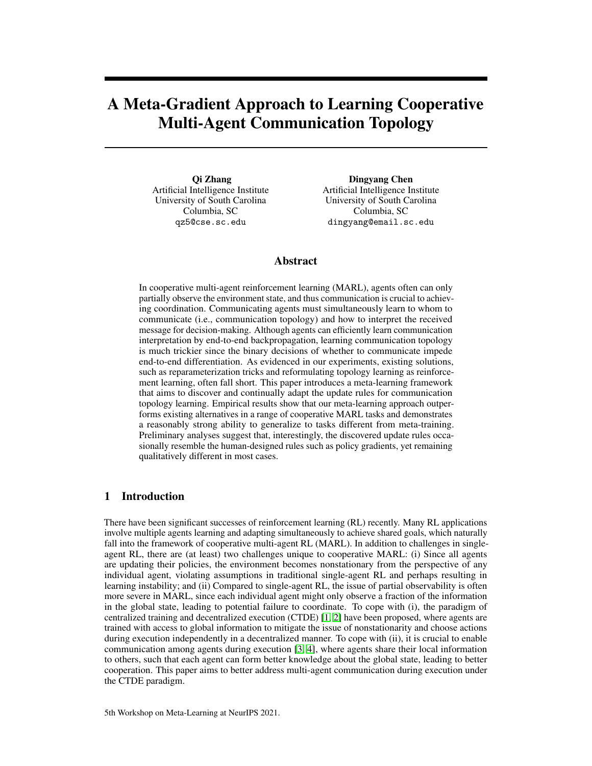# A Meta-Gradient Approach to Learning Cooperative Multi-Agent Communication Topology

Qi Zhang Artificial Intelligence Institute University of South Carolina Columbia, SC qz5@cse.sc.edu

Dingyang Chen Artificial Intelligence Institute University of South Carolina Columbia, SC dingyang@email.sc.edu

# Abstract

In cooperative multi-agent reinforcement learning (MARL), agents often can only partially observe the environment state, and thus communication is crucial to achieving coordination. Communicating agents must simultaneously learn to whom to communicate (i.e., communication topology) and how to interpret the received message for decision-making. Although agents can efficiently learn communication interpretation by end-to-end backpropagation, learning communication topology is much trickier since the binary decisions of whether to communicate impede end-to-end differentiation. As evidenced in our experiments, existing solutions, such as reparameterization tricks and reformulating topology learning as reinforcement learning, often fall short. This paper introduces a meta-learning framework that aims to discover and continually adapt the update rules for communication topology learning. Empirical results show that our meta-learning approach outperforms existing alternatives in a range of cooperative MARL tasks and demonstrates a reasonably strong ability to generalize to tasks different from meta-training. Preliminary analyses suggest that, interestingly, the discovered update rules occasionally resemble the human-designed rules such as policy gradients, yet remaining qualitatively different in most cases.

# 1 Introduction

There have been significant successes of reinforcement learning (RL) recently. Many RL applications involve multiple agents learning and adapting simultaneously to achieve shared goals, which naturally fall into the framework of cooperative multi-agent RL (MARL). In addition to challenges in singleagent RL, there are (at least) two challenges unique to cooperative MARL: (i) Since all agents are updating their policies, the environment becomes nonstationary from the perspective of any individual agent, violating assumptions in traditional single-agent RL and perhaps resulting in learning instability; and (ii) Compared to single-agent RL, the issue of partial observability is often more severe in MARL, since each individual agent might only observe a fraction of the information in the global state, leading to potential failure to coordinate. To cope with (i), the paradigm of centralized training and decentralized execution (CTDE) [\[1,](#page-9-0) [2\]](#page-9-1) have been proposed, where agents are trained with access to global information to mitigate the issue of nonstationarity and choose actions during execution independently in a decentralized manner. To cope with (ii), it is crucial to enable communication among agents during execution [\[3,](#page-9-2) [4\]](#page-9-3), where agents share their local information to others, such that each agent can form better knowledge about the global state, leading to better cooperation. This paper aims to better address multi-agent communication during execution under the CTDE paradigm.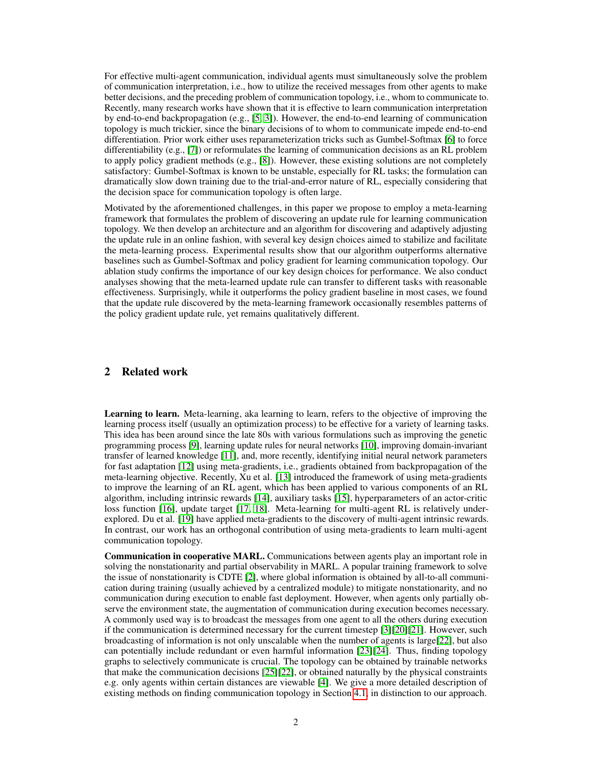For effective multi-agent communication, individual agents must simultaneously solve the problem of communication interpretation, i.e., how to utilize the received messages from other agents to make better decisions, and the preceding problem of communication topology, i.e., whom to communicate to. Recently, many research works have shown that it is effective to learn communication interpretation by end-to-end backpropagation (e.g., [\[5,](#page-9-4) [3\]](#page-9-2)). However, the end-to-end learning of communication topology is much trickier, since the binary decisions of to whom to communicate impede end-to-end differentiation. Prior work either uses reparameterization tricks such as Gumbel-Softmax [\[6\]](#page-9-5) to force differentiability (e.g., [\[7\]](#page-9-6)) or reformulates the learning of communication decisions as an RL problem to apply policy gradient methods (e.g., [\[8\]](#page-9-7)). However, these existing solutions are not completely satisfactory: Gumbel-Softmax is known to be unstable, especially for RL tasks; the formulation can dramatically slow down training due to the trial-and-error nature of RL, especially considering that the decision space for communication topology is often large.

Motivated by the aforementioned challenges, in this paper we propose to employ a meta-learning framework that formulates the problem of discovering an update rule for learning communication topology. We then develop an architecture and an algorithm for discovering and adaptively adjusting the update rule in an online fashion, with several key design choices aimed to stabilize and facilitate the meta-learning process. Experimental results show that our algorithm outperforms alternative baselines such as Gumbel-Softmax and policy gradient for learning communication topology. Our ablation study confirms the importance of our key design choices for performance. We also conduct analyses showing that the meta-learned update rule can transfer to different tasks with reasonable effectiveness. Surprisingly, while it outperforms the policy gradient baseline in most cases, we found that the update rule discovered by the meta-learning framework occasionally resembles patterns of the policy gradient update rule, yet remains qualitatively different.

# 2 Related work

Learning to learn. Meta-learning, aka learning to learn, refers to the objective of improving the learning process itself (usually an optimization process) to be effective for a variety of learning tasks. This idea has been around since the late 80s with various formulations such as improving the genetic programming process [\[9\]](#page-10-0), learning update rules for neural networks [\[10\]](#page-10-1), improving domain-invariant transfer of learned knowledge [\[11\]](#page-10-2), and, more recently, identifying initial neural network parameters for fast adaptation [\[12\]](#page-10-3) using meta-gradients, i.e., gradients obtained from backpropagation of the meta-learning objective. Recently, Xu et al. [\[13\]](#page-10-4) introduced the framework of using meta-gradients to improve the learning of an RL agent, which has been applied to various components of an RL algorithm, including intrinsic rewards [\[14\]](#page-10-5), auxiliary tasks [\[15\]](#page-10-6), hyperparameters of an actor-critic loss function [\[16\]](#page-10-7), update target [\[17,](#page-10-8) [18\]](#page-10-9). Meta-learning for multi-agent RL is relatively underexplored. Du et al. [\[19\]](#page-10-10) have applied meta-gradients to the discovery of multi-agent intrinsic rewards. In contrast, our work has an orthogonal contribution of using meta-gradients to learn multi-agent communication topology.

Communication in cooperative MARL. Communications between agents play an important role in solving the nonstationarity and partial observability in MARL. A popular training framework to solve the issue of nonstationarity is CDTE [\[2\]](#page-9-1), where global information is obtained by all-to-all communication during training (usually achieved by a centralized module) to mitigate nonstationarity, and no communication during execution to enable fast deployment. However, when agents only partially observe the environment state, the augmentation of communication during execution becomes necessary. A commonly used way is to broadcast the messages from one agent to all the others during execution if the communication is determined necessary for the current timestep [\[3\]](#page-9-2)[\[20\]](#page-10-11)[\[21\]](#page-10-12). However, such broadcasting of information is not only unscalable when the number of agents is large[\[22\]](#page-10-13), but also can potentially include redundant or even harmful information [\[23\]](#page-10-14)[\[24\]](#page-10-15). Thus, finding topology graphs to selectively communicate is crucial. The topology can be obtained by trainable networks that make the communication decisions [\[25\]](#page-10-16)[\[22\]](#page-10-13), or obtained naturally by the physical constraints e.g. only agents within certain distances are viewable [\[4\]](#page-9-3). We give a more detailed description of existing methods on finding communication topology in Section [4.1,](#page-4-0) in distinction to our approach.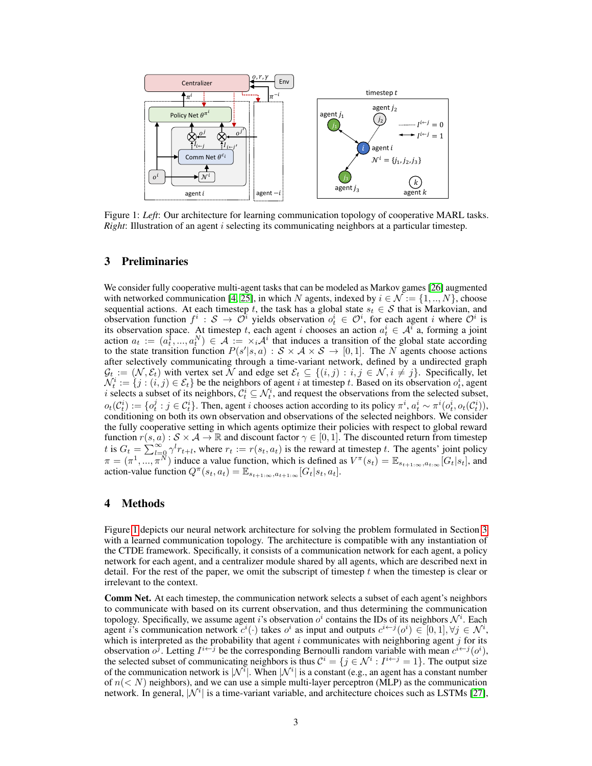<span id="page-3-0"></span>

Figure 1: *Left*: Our architecture for learning communication topology of cooperative MARL tasks. *Right*: Illustration of an agent *i* selecting its communicating neighbors at a particular timestep.

## <span id="page-3-1"></span>3 Preliminaries

We consider fully cooperative multi-agent tasks that can be modeled as Markov games [\[26\]](#page-10-17) augmented with networked communication [\[4,](#page-9-3) [25\]](#page-10-16), in which N agents, indexed by  $i \in \mathcal{N} := \{1, ..., N\}$ , choose sequential actions. At each timestep t, the task has a global state  $s_t \in S$  that is Markovian, and observation function  $f^i: \mathcal{S} \to \mathcal{O}^i$  yields observation  $o_t^i \in \mathcal{O}^i$ , for each agent i where  $\mathcal{O}^i$  is its observation space. At timestep t, each agent i chooses an action  $a_t^i \in A^{\bar{i}}$  a, forming a joint action  $a_t := (a_t^{\{1\}},..., a_t^N) \in \mathcal{A} := \times_i \mathcal{A}^i$  that induces a transition of the global state according to the state transition function  $P(s'|s, a) : S \times A \times S \rightarrow [0, 1]$ . The N agents choose actions after selectively communicating through a time-variant network, defined by a undirected graph  $\mathcal{G}_t := (\mathcal{N}, \mathcal{E}_t)$  with vertex set  $\mathcal{N}$  and edge set  $\mathcal{E}_t \subseteq \{(i, j) : i, j \in \mathcal{N}, i \neq j\}$ . Specifically, let  $\mathcal{N}_t^i := \{j : (i, j) \in \mathcal{E}_t\}$  be the neighbors of agent i at timestep t. Based on its observation  $o_t^i$ , agent i selects a subset of its neighbors,  $C_t^i \subseteq \mathcal{N}_t^i$ , and request the observations from the selected subset,  $o_t(C_t^i) := \{o_t^j : j \in C_t^i\}$ . Then, agent *i* chooses action according to its policy  $\pi^i$ ,  $a_t^i \sim \pi^i(o_t^i, o_t(C_t^i))$ , conditioning on both its own observation and observations of the selected neighbors. We consider the fully cooperative setting in which agents optimize their policies with respect to global reward function  $r(s, a) : S \times A \to \mathbb{R}$  and discount factor  $\gamma \in [0, 1]$ . The discounted return from timestep t is  $G_t = \sum_{l=0}^{\infty} \gamma^l r_{t+l}$ , where  $r_t := r(s_t, a_t)$  is the reward at timestep t. The agents' joint policy  $\pi = (\pi^1, \ldots, \pi^N)$  induce a value function, which is defined as  $V^{\pi}(s_t) = \mathbb{E}_{s_{t+1}:\infty, a_t:\infty}[G_t|s_t]$ , and action-value function  $Q^{\pi}(s_t, a_t) = \mathbb{E}_{s_{t+1}:\infty,a_{t+1}:\infty}[G_t|s_t, a_t].$ 

#### 4 Methods

Figure [1](#page-3-0) depicts our neural network architecture for solving the problem formulated in Section [3](#page-3-1) with a learned communication topology. The architecture is compatible with any instantiation of the CTDE framework. Specifically, it consists of a communication network for each agent, a policy network for each agent, and a centralizer module shared by all agents, which are described next in detail. For the rest of the paper, we omit the subscript of timestep  $t$  when the timestep is clear or irrelevant to the context.

Comm Net. At each timestep, the communication network selects a subset of each agent's neighbors to communicate with based on its current observation, and thus determining the communication topology. Specifically, we assume agent i's observation  $o^i$  contains the IDs of its neighbors  $\mathcal{N}^i$ . Each agent i's communication network  $c^i(\cdot)$  takes  $o^i$  as input and outputs  $c^{i \leftarrow j}(o^i) \in [0,1], \forall j \in \mathcal{N}^i$ , which is interpreted as the probability that agent  $i$  communicates with neighboring agent  $j$  for its observation  $o^j$ . Letting  $I^{i \leftarrow j}$  be the corresponding Bernoulli random variable with mean  $c^{i \leftarrow j}(o^i)$ , the selected subset of communicating neighbors is thus  $\mathcal{C}^i = \{j \in \mathcal{N}^i : I^{i \leftarrow j} = 1\}$ . The output size of the communication network is  $|\mathcal{N}^i|$ . When  $|\mathcal{N}^i|$  is a constant (e.g., an agent has a constant number of  $n(< N)$  neighbors), and we can use a simple multi-layer perceptron (MLP) as the communication network. In general,  $|N^i|$  is a time-variant variable, and architecture choices such as LSTMs [\[27\]](#page-11-0),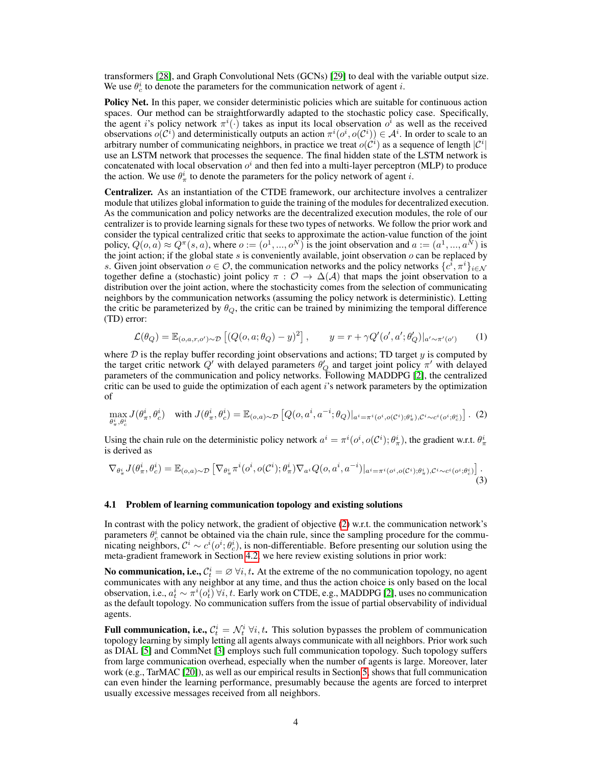transformers [\[28\]](#page-11-1), and Graph Convolutional Nets (GCNs) [\[29\]](#page-11-2) to deal with the variable output size. We use  $\theta_c^i$  to denote the parameters for the communication network of agent *i*.

Policy Net. In this paper, we consider deterministic policies which are suitable for continuous action spaces. Our method can be straightforwardly adapted to the stochastic policy case. Specifically, the agent i's policy network  $\pi^{i}(\cdot)$  takes as input its local observation  $o^{i}$  as well as the received observations  $o(C^i)$  and deterministically outputs an action  $\pi^i(o^i, o(C^i)) \in A^i$ . In order to scale to an arbitrary number of communicating neighbors, in practice we treat  $o(C^i)$  as a sequence of length  $|C^i|$ use an LSTM network that processes the sequence. The final hidden state of the LSTM network is concatenated with local observation  $o^i$  and then fed into a multi-layer perceptron (MLP) to produce the action. We use  $\theta_{\pi}^{i}$  to denote the parameters for the policy network of agent *i*.

Centralizer. As an instantiation of the CTDE framework, our architecture involves a centralizer module that utilizes global information to guide the training of the modules for decentralized execution. As the communication and policy networks are the decentralized execution modules, the role of our centralizer is to provide learning signals for these two types of networks. We follow the prior work and consider the typical centralized critic that seeks to approximate the action-value function of the joint policy,  $Q(o, a) \approx Q^{\pi}(s, a)$ , where  $o := (o^1, ..., o^N)$  is the joint observation and  $a := (a^1, ..., a^N)$  is the joint action; if the global state  $s$  is conveniently available, joint observation  $o$  can be replaced by s. Given joint observation  $o \in \mathcal{O}$ , the communication networks and the policy networks  $\{c^{\bar{i}}, \pi^i\}_{i \in \mathcal{N}}$ together define a (stochastic) joint policy  $\pi$  :  $\mathcal{O} \to \Delta(\mathcal{A})$  that maps the joint observation to a distribution over the joint action, where the stochasticity comes from the selection of communicating neighbors by the communication networks (assuming the policy network is deterministic). Letting the critic be parameterized by  $\theta_Q$ , the critic can be trained by minimizing the temporal difference (TD) error:

<span id="page-4-3"></span><span id="page-4-2"></span><span id="page-4-1"></span>
$$
\mathcal{L}(\theta_Q) = \mathbb{E}_{(o,a,r,o') \sim \mathcal{D}} \left[ (Q(o,a;\theta_Q) - y)^2 \right], \qquad y = r + \gamma Q'(o',a';\theta_Q')|_{a' \sim \pi'(o')} \tag{1}
$$

where  $D$  is the replay buffer recording joint observations and actions; TD target  $y$  is computed by the target critic network  $Q'$  with delayed parameters  $\theta'_{Q}$  and target joint policy  $\pi'$  with delayed parameters of the communication and policy networks. Following MADDPG [\[2\]](#page-9-1), the centralized critic can be used to guide the optimization of each agent  $i$ 's network parameters by the optimization of

$$
\max_{\theta_n^i, \theta_c^i} J(\theta_n^i, \theta_c^i) \quad \text{with } J(\theta_n^i, \theta_c^i) = \mathbb{E}_{(o,a)\sim\mathcal{D}}\left[Q(o, a^i, a^{-i}; \theta_Q)|_{a^i = \pi^i(o^i, o(\mathcal{C}^i); \theta_\pi^i), \mathcal{C}^i \sim c^i(o^i; \theta_c^i)}\right].
$$

Using the chain rule on the deterministic policy network  $a^i = \pi^i(o^i, o(C^i); \theta^i_{\pi})$ , the gradient w.r.t.  $\theta^i_{\pi}$ is derived as

$$
\nabla_{\theta_{\pi}^{i}} J(\theta_{\pi}^{i}, \theta_{c}^{i}) = \mathbb{E}_{(o,a)\sim\mathcal{D}}\left[\nabla_{\theta_{\pi}^{i}} \pi^{i}(o^{i}, o(\mathcal{C}^{i}); \theta_{\pi}^{i}) \nabla_{a^{i}} Q(o, a^{i}, a^{-i})|_{a^{i}=\pi^{i}(o^{i}, o(\mathcal{C}^{i}); \theta_{\pi}^{i}), \mathcal{C}^{i} \sim c^{i}(o^{i}, \theta_{c}^{i})\right].
$$
\n(3)

#### <span id="page-4-0"></span>4.1 Problem of learning communication topology and existing solutions

In contrast with the policy network, the gradient of objective [\(2\)](#page-4-1) w.r.t. the communication network's parameters  $\theta_c^i$  cannot be obtained via the chain rule, since the sampling procedure for the communicating neighbors,  $\mathcal{C}^i \sim c^i(o^i; \theta_c^i)$ , is non-differentiable. Before presenting our solution using the meta-gradient framework in Section [4.2,](#page-5-0) we here review existing solutions in prior work:

No communication, i.e.,  $C_t^i = \varnothing \ \forall i, t$ . At the extreme of the no communication topology, no agent communicates with any neighbor at any time, and thus the action choice is only based on the local observation, i.e.,  $a_t^i \sim \pi^i(o_t^i)$   $\forall i, t$ . Early work on CTDE, e.g., MADDPG [\[2\]](#page-9-1), uses no communication as the default topology. No communication suffers from the issue of partial observability of individual agents.

**Full communication, i.e.,**  $C_t^i = \mathcal{N}_t^i \ \forall i, t$ . This solution bypasses the problem of communication topology learning by simply letting all agents always communicate with all neighbors. Prior work such as DIAL [\[5\]](#page-9-4) and CommNet [\[3\]](#page-9-2) employs such full communication topology. Such topology suffers from large communication overhead, especially when the number of agents is large. Moreover, later work (e.g., TarMAC [\[20\]](#page-10-11)), as well as our empirical results in Section [5,](#page-6-0) shows that full communication can even hinder the learning performance, presumably because the agents are forced to interpret usually excessive messages received from all neighbors.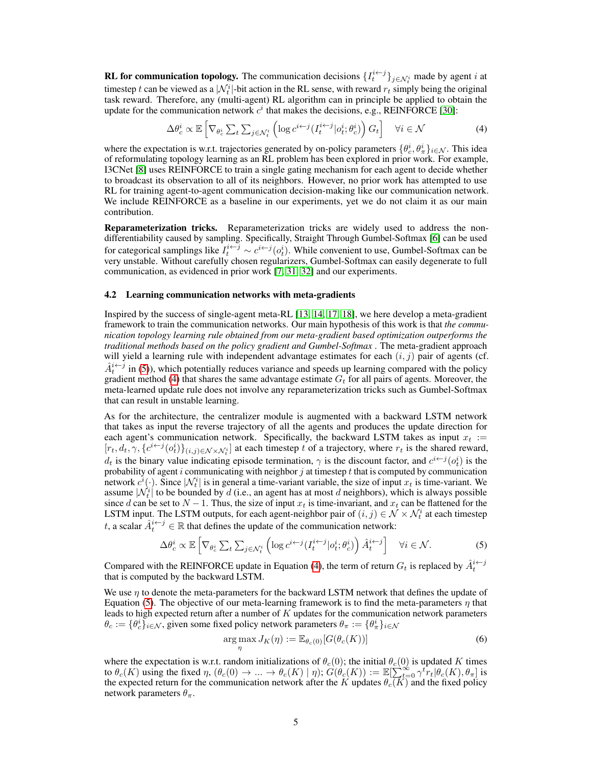**RL for communication topology.** The communication decisions  $\{I_t^{i \leftarrow j}\}_{j \in \mathcal{N}_t^i}$  made by agent *i* at timestep t can be viewed as a  $|\mathcal{N}_t^i|$ -bit action in the RL sense, with reward  $r_t$  simply being the original task reward. Therefore, any (multi-agent) RL algorithm can in principle be applied to obtain the update for the communication network  $c^i$  that makes the decisions, e.g., REINFORCE [\[30\]](#page-11-3):

<span id="page-5-2"></span>
$$
\Delta \theta_c^i \propto \mathbb{E}\left[\nabla_{\theta_c^i} \sum_t \sum_{j \in \mathcal{N}_t^i} \left(\log c^{i \leftarrow j} (I_t^{i \leftarrow j} | o_t^i; \theta_c^i)\right) G_t\right] \quad \forall i \in \mathcal{N} \tag{4}
$$

where the expectation is w.r.t. trajectories generated by on-policy parameters  $\{\theta_c^i, \theta_{\pi}^i\}_{i\in\mathcal{N}}$ . This idea of reformulating topology learning as an RL problem has been explored in prior work. For example, I3CNet [\[8\]](#page-9-7) uses REINFORCE to train a single gating mechanism for each agent to decide whether to broadcast its observation to all of its neighbors. However, no prior work has attempted to use RL for training agent-to-agent communication decision-making like our communication network. We include REINFORCE as a baseline in our experiments, yet we do not claim it as our main contribution.

Reparameterization tricks. Reparameterization tricks are widely used to address the nondifferentiability caused by sampling. Specifically, Straight Through Gumbel-Softmax [\[6\]](#page-9-5) can be used for categorical samplings like  $I_t^{i \leftarrow j} \sim c^{i \leftarrow j} (o_t^i)$ . While convenient to use, Gumbel-Softmax can be very unstable. Without carefully chosen regularizers, Gumbel-Softmax can easily degenerate to full communication, as evidenced in prior work [\[7,](#page-9-6) [31,](#page-11-4) [32\]](#page-11-5) and our experiments.

#### <span id="page-5-0"></span>4.2 Learning communication networks with meta-gradients

Inspired by the success of single-agent meta-RL [\[13,](#page-10-4) [14,](#page-10-5) [17,](#page-10-8) [18\]](#page-10-9), we here develop a meta-gradient framework to train the communication networks. Our main hypothesis of this work is that *the communication topology learning rule obtained from our meta-gradient based optimization outperforms the traditional methods based on the policy gradient and Gumbel-Softmax* . The meta-gradient approach will yield a learning rule with independent advantage estimates for each  $(i, j)$  pair of agents (cf.  $\hat{A}_t^{i \leftarrow j}$  in [\(5\)](#page-5-1)), which potentially reduces variance and speeds up learning compared with the policy gradient method [\(4\)](#page-5-2) that shares the same advantage estimate  $G_t$  for all pairs of agents. Moreover, the meta-learned update rule does not involve any reparameterization tricks such as Gumbel-Softmax that can result in unstable learning.

As for the architecture, the centralizer module is augmented with a backward LSTM network that takes as input the reverse trajectory of all the agents and produces the update direction for each agent's communication network. Specifically, the backward LSTM takes as input  $x_t :=$  $[r_t, d_t, \gamma, \{c^{i \leftarrow j}(o_t^i)\}_{(i,j)\in\mathcal{N}\times\mathcal{N}_t^i}]$  at each timestep t of a trajectory, where  $r_t$  is the shared reward,  $d_t$  is the binary value indicating episode termination,  $\gamma$  is the discount factor, and  $c^{i \leftarrow j}(o_t^i)$  is the probability of agent i communicating with neighbor j at timestep t that is computed by communication network  $c^i(\cdot)$ . Since  $|\mathcal{N}_t^i|$  is in general a time-variant variable, the size of input  $x_t$  is time-variant. We Hetwork  $c(\cdot)$ . Since  $|\mathcal{N}_t|$  is in general a time-variant variable, the size of liptif  $x_t$  is time-variant. We assume  $|\mathcal{N}_t^i|$  to be bounded by d (i.e., an agent has at most d neighbors), which is always possible since d can be set to  $N-1$ . Thus, the size of input  $x_t$  is time-invariant, and  $x_t$  can be flattened for the LSTM input. The LSTM outputs, for each agent-neighbor pair of  $(i, j) \in \mathcal{N} \times \mathcal{N}_t^i$  at each timestep t, a scalar  $\hat{A}^{i \leftarrow j}_t \in \mathbb{R}$  that defines the update of the communication network:

$$
\Delta \theta_c^i \propto \mathbb{E}\left[\nabla_{\theta_c^i} \sum_t \sum_{j \in \mathcal{N}_t^i} \left(\log c^{i \leftarrow j} (I_t^{i \leftarrow j} | o_t^i; \theta_c^i)\right) \hat{A}_t^{i \leftarrow j}\right] \quad \forall i \in \mathcal{N}.\tag{5}
$$

Compared with the REINFORCE update in Equation [\(4\)](#page-5-2), the term of return  $G_t$  is replaced by  $\hat{A}_t^{i \leftarrow j}$ that is computed by the backward LSTM.

We use  $\eta$  to denote the meta-parameters for the backward LSTM network that defines the update of Equation [\(5\)](#page-5-1). The objective of our meta-learning framework is to find the meta-parameters  $\eta$  that leads to high expected return after a number of  $K$  updates for the communication network parameters  $\theta_c := \{\theta_c^i\}_{i \in \mathcal{N}}$ , given some fixed policy network parameters  $\theta_\pi := \{\theta_\pi^i\}_{i \in \mathcal{N}}$ 

<span id="page-5-3"></span><span id="page-5-1"></span>
$$
\underset{\eta}{\arg\max} J_K(\eta) := \mathbb{E}_{\theta_c(0)}[G(\theta_c(K))]
$$
\n(6)

where the expectation is w.r.t. random initializations of  $\theta_c(0)$ ; the initial  $\theta_c(0)$  is updated K times to  $\theta_c(K)$  using the fixed  $\eta$ ,  $(\theta_c(0) \to \dots \to \theta_c(K) \mid \eta)$ ;  $G(\theta_c(K)) := \mathbb{E}[\sum_{t=0}^{\infty} \gamma^t r_t | \theta_c(K), \theta_{\pi}]$  is the expected return for the communication network after the K updates  $\theta_c(K)$  and the fixed policy network parameters  $\theta_{\pi}$ .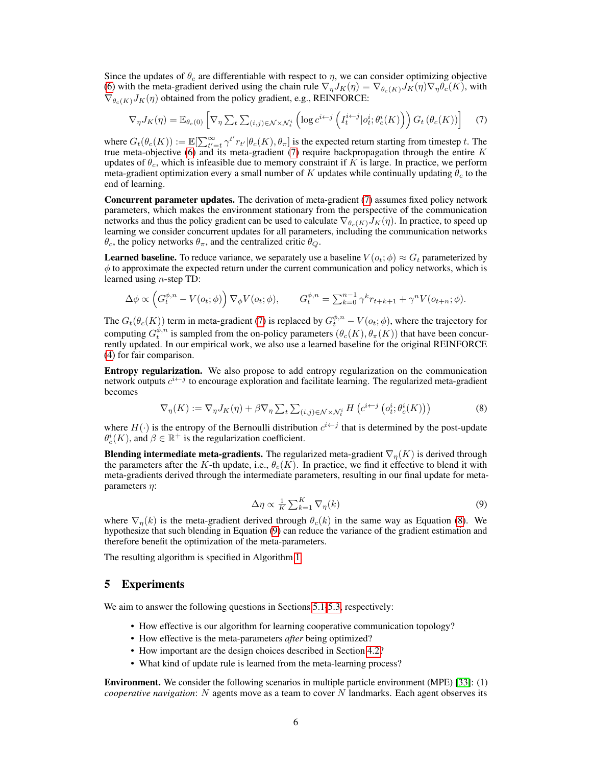Since the updates of  $\theta_c$  are differentiable with respect to  $\eta$ , we can consider optimizing objective [\(6\)](#page-5-3) with the meta-gradient derived using the chain rule  $\nabla_{\eta}J_K(\eta) = \nabla_{\theta_c(K)}J_K(\eta)\nabla_{\eta}\theta_c(K)$ , with  $\nabla_{\theta_c(K)} J_K(\eta)$  obtained from the policy gradient, e.g., REINFORCE:

<span id="page-6-1"></span>
$$
\nabla_{\eta} J_K(\eta) = \mathbb{E}_{\theta_c(0)} \left[ \nabla_{\eta} \sum_t \sum_{(i,j) \in \mathcal{N} \times \mathcal{N}_t^i} \left( \log c^{i \leftarrow j} \left( I_t^{i \leftarrow j} | o_t^i; \theta_c^i(K) \right) \right) G_t \left( \theta_c(K) \right) \right] \tag{7}
$$

where  $G_t(\theta_c(K)) := \mathbb{E}[\sum_{t'=t}^{\infty} \gamma^{t'} r_{t'} | \theta_c(K), \theta_{\pi}]$  is the expected return starting from timestep t. The true meta-objective [\(6\)](#page-5-3) and its meta-gradient [\(7\)](#page-6-1) require backpropagation through the entire  $K$ updates of  $\theta_c$ , which is infeasible due to memory constraint if K is large. In practice, we perform meta-gradient optimization every a small number of K updates while continually updating  $\theta_c$  to the end of learning.

Concurrent parameter updates. The derivation of meta-gradient [\(7\)](#page-6-1) assumes fixed policy network parameters, which makes the environment stationary from the perspective of the communication networks and thus the policy gradient can be used to calculate  $\nabla_{\theta_c(K)} J_K(\eta)$ . In practice, to speed up learning we consider concurrent updates for all parameters, including the communication networks  $\theta_c$ , the policy networks  $\theta_{\pi}$ , and the centralized critic  $\theta_{\Omega}$ .

**Learned baseline.** To reduce variance, we separately use a baseline  $V(o_t; \phi) \approx G_t$  parameterized by  $\phi$  to approximate the expected return under the current communication and policy networks, which is learned using  $n$ -step TD:

$$
\Delta \phi \propto \left( G_t^{\phi,n} - V(o_t; \phi) \right) \nabla_{\phi} V(o_t; \phi), \qquad G_t^{\phi,n} = \sum_{k=0}^{n-1} \gamma^k r_{t+k+1} + \gamma^n V(o_{t+n}; \phi).
$$

The  $G_t(\theta_c(K))$  term in meta-gradient [\(7\)](#page-6-1) is replaced by  $G_t^{\phi,n} - V(o_t; \phi)$ , where the trajectory for computing  $G_t^{\phi,n}$  is sampled from the on-policy parameters  $(\theta_c(K), \theta_{\pi}(K))$  that have been concurrently updated. In our empirical work, we also use a learned baseline for the original REINFORCE [\(4\)](#page-5-2) for fair comparison.

Entropy regularization. We also propose to add entropy regularization on the communication network outputs  $c^{i \leftarrow j}$  to encourage exploration and facilitate learning. The regularized meta-gradient becomes

$$
\nabla_{\eta}(K) := \nabla_{\eta} J_K(\eta) + \beta \nabla_{\eta} \sum_{t} \sum_{(i,j) \in \mathcal{N} \times \mathcal{N}_t^i} H\left(c^{i \leftarrow j} \left(o_t^i; \theta_c^i(K)\right)\right) \tag{8}
$$

where  $H(\cdot)$  is the entropy of the Bernoulli distribution  $c^{i \leftarrow j}$  that is determined by the post-update  $\theta_c^i(K)$ , and  $\beta \in \mathbb{R}^+$  is the regularization coefficient.

**Blending intermediate meta-gradients.** The regularized meta-gradient  $\nabla_n(K)$  is derived through the parameters after the K-th update, i.e.,  $\theta_c(K)$ . In practice, we find it effective to blend it with meta-gradients derived through the intermediate parameters, resulting in our final update for metaparameters  $\eta$ :

<span id="page-6-3"></span><span id="page-6-2"></span>
$$
\Delta \eta \propto \frac{1}{K} \sum_{k=1}^{K} \nabla_{\eta}(k) \tag{9}
$$

where  $\nabla_n(k)$  is the meta-gradient derived through  $\theta_c(k)$  in the same way as Equation [\(8\)](#page-6-2). We hypothesize that such blending in Equation [\(9\)](#page-6-3) can reduce the variance of the gradient estimation and therefore benefit the optimization of the meta-parameters.

The resulting algorithm is specified in Algorithm [1.](#page-7-0)

### <span id="page-6-0"></span>5 Experiments

We aim to answer the following questions in Sections [5.1](#page-7-1)[-5.3,](#page-8-0) respectively:

- How effective is our algorithm for learning cooperative communication topology?
- How effective is the meta-parameters *after* being optimized?
- How important are the design choices described in Section [4.2?](#page-5-0)
- What kind of update rule is learned from the meta-learning process?

Environment. We consider the following scenarios in multiple particle environment (MPE) [\[33\]](#page-11-6): (1) *cooperative navigation*: N agents move as a team to cover N landmarks. Each agent observes its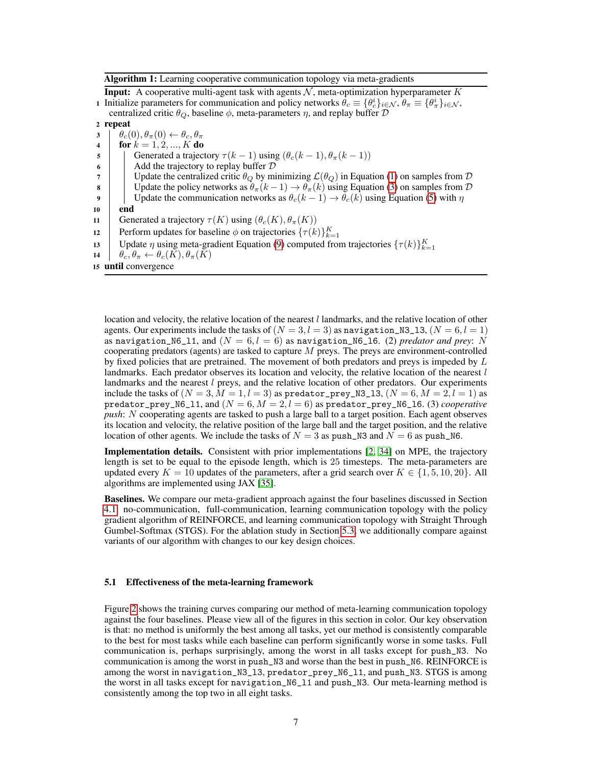Algorithm 1: Learning cooperative communication topology via meta-gradients

<span id="page-7-0"></span>**Input:** A cooperative multi-agent task with agents  $N$ , meta-optimization hyperparameter K 1 Initialize parameters for communication and policy networks  $\hat{\theta}_c \equiv {\theta_c^i}_{i \in \mathcal{N}}, \hat{\theta}_\pi \equiv {\theta_\pi^i}_{i \in \mathcal{N}},$ centralized critic  $\theta_Q$ , baseline  $\phi$ , meta-parameters  $\eta$ , and replay buffer  $D$ 2 repeat  $\theta_c(0), \theta_\pi(0) \leftarrow \theta_c, \theta_\pi$ 4 | for  $k = 1, 2, ..., K$  do 5 Generated a trajectory  $\tau(k-1)$  using  $(\theta_c(k-1), \theta_\pi(k-1))$  $\bullet$  | Add the trajectory to replay buffer  $\mathcal D$ 7 Update the centralized critic  $\theta_Q$  by minimizing  $\mathcal{L}(\theta_Q)$  in Equation [\(1\)](#page-4-2) on samples from  $\mathcal D$ 8 Update the policy networks as  $\theta_{\pi}(k-1) \to \theta_{\pi}(k)$  using Equation [\(3\)](#page-4-3) on samples from  $\mathcal{D}$ 9 Update the communication networks as  $\theta_c(k-1) \rightarrow \theta_c(k)$  using Equation [\(5\)](#page-5-1) with  $\eta$ 10 end 11 Generated a trajectory  $\tau(K)$  using  $(\theta_c(K), \theta_{\pi}(K))$ 12 Perform updates for baseline  $\phi$  on trajectories  $\{\tau(k)\}_{k=1}^K$ 

- 13 Update  $\eta$  using meta-gradient Equation [\(9\)](#page-6-3) computed from trajectories  $\{\tau(k)\}_{k=1}^K$
- 14  $\theta_c, \theta_{\pi} \leftarrow \theta_c(K), \theta_{\pi}(K)$
- <sup>15</sup> until convergence

location and velocity, the relative location of the nearest  $l$  landmarks, and the relative location of other agents. Our experiments include the tasks of  $(N = 3, l = 3)$  as navigation\_N3\_13,  $(N = 6, l = 1)$ as navigation\_N6\_11, and  $(N = 6, l = 6)$  as navigation\_N6\_16. (2) *predator and prey:* N cooperating predators (agents) are tasked to capture  $M$  preys. The preys are environment-controlled by fixed policies that are pretrained. The movement of both predators and preys is impeded by  $L$ landmarks. Each predator observes its location and velocity, the relative location of the nearest  $l$ landmarks and the nearest  $l$  preys, and the relative location of other predators. Our experiments include the tasks of  $(N = 3, M = 1, l = 3)$  as predator\_prey\_N3\_13,  $(N = 6, M = 2, l = 1)$  as predator\_prey\_N6\_11, and  $(N = 6, M = 2, l = 6)$  as predator\_prey\_N6\_16. (3) *cooperative push*: N cooperating agents are tasked to push a large ball to a target position. Each agent observes its location and velocity, the relative position of the large ball and the target position, and the relative location of other agents. We include the tasks of  $N = 3$  as push\_N3 and  $N = 6$  as push\_N6.

Implementation details. Consistent with prior implementations [\[2,](#page-9-1) [34\]](#page-11-7) on MPE, the trajectory length is set to be equal to the episode length, which is 25 timesteps. The meta-parameters are updated every  $K = 10$  updates of the parameters, after a grid search over  $K \in \{1, 5, 10, 20\}$ . All algorithms are implemented using JAX [\[35\]](#page-11-8).

Baselines. We compare our meta-gradient approach against the four baselines discussed in Section [4.1:](#page-4-0) no-communication, full-communication, learning communication topology with the policy gradient algorithm of REINFORCE, and learning communication topology with Straight Through Gumbel-Softmax (STGS). For the ablation study in Section [5.3,](#page-8-0) we additionally compare against variants of our algorithm with changes to our key design choices.

#### <span id="page-7-1"></span>5.1 Effectiveness of the meta-learning framework

Figure [2](#page-8-1) shows the training curves comparing our method of meta-learning communication topology against the four baselines. Please view all of the figures in this section in color. Our key observation is that: no method is uniformly the best among all tasks, yet our method is consistently comparable to the best for most tasks while each baseline can perform significantly worse in some tasks. Full communication is, perhaps surprisingly, among the worst in all tasks except for push\_N3. No communication is among the worst in push\_N3 and worse than the best in push\_N6. REINFORCE is among the worst in navigation\_N3\_l3, predator\_prey\_N6\_l1, and push\_N3. STGS is among the worst in all tasks except for navigation\_N6\_l1 and push\_N3. Our meta-learning method is consistently among the top two in all eight tasks.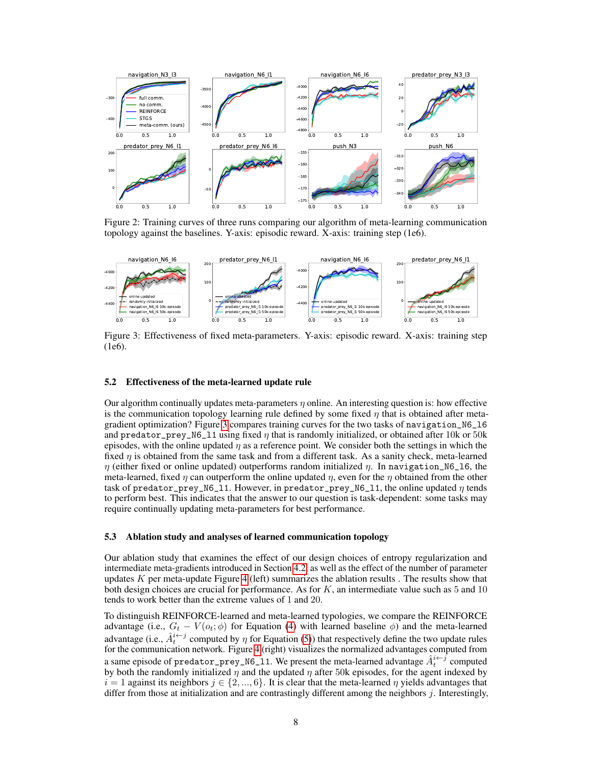<span id="page-8-1"></span>

Figure 2: Training curves of three runs comparing our algorithm of meta-learning communication topology against the baselines. Y-axis: episodic reward. X-axis: training step (1e6).

<span id="page-8-2"></span>

Figure 3: Effectiveness of fixed meta-parameters. Y-axis: episodic reward. X-axis: training step (1e6).

#### 5.2 Effectiveness of the meta-learned update rule

Our algorithm continually updates meta-parameters  $\eta$  online. An interesting question is: how effective is the communication topology learning rule defined by some fixed  $\eta$  that is obtained after metagradient optimization? Figure [3](#page-8-2) compares training curves for the two tasks of navigation\_N6\_l6 and predator\_prey\_N6\_11 using fixed  $\eta$  that is randomly initialized, or obtained after 10k or 50k episodes, with the online updated  $\eta$  as a reference point. We consider both the settings in which the fixed  $\eta$  is obtained from the same task and from a different task. As a sanity check, meta-learned  $η$  (either fixed or online updated) outperforms random initialized  $η$ . In navigation\_N6\_16, the meta-learned, fixed  $\eta$  can outperform the online updated  $\eta$ , even for the  $\eta$  obtained from the other task of predator\_prey\_N6\_11. However, in predator\_prey\_N6\_11, the online updated  $\eta$  tends to perform best. This indicates that the answer to our question is task-dependent: some tasks may require continually updating meta-parameters for best performance.

#### <span id="page-8-0"></span>5.3 Ablation study and analyses of learned communication topology

Our ablation study that examines the effect of our design choices of entropy regularization and intermediate meta-gradients introduced in Section [4.2,](#page-5-0) as well as the effect of the number of parameter updates  $K$  per meta-update Figure [4](#page-9-8) (left) summarizes the ablation results . The results show that both design choices are crucial for performance. As for  $K$ , an intermediate value such as 5 and 10 tends to work better than the extreme values of 1 and 20.

To distinguish REINFORCE-learned and meta-learned typologies, we compare the REINFORCE advantage (i.e.,  $G_t - V(o_t; \phi)$  for Equation [\(4\)](#page-5-2) with learned baseline  $\phi$ ) and the meta-learned advantage (i.e.,  $\hat{A}^{i \leftarrow j}_t$  computed by  $\eta$  for Equation [\(5\)](#page-5-1)) that respectively define the two update rules for the communication network. Figure [4](#page-9-8) (right) visualizes the normalized advantages computed from a same episode of predator\_prey\_N6\_11. We present the meta-learned advantage  $\hat{A}_t^{i \leftarrow j}$  computed by both the randomly initialized  $\eta$  and the updated  $\eta$  after 50k episodes, for the agent indexed by  $i = 1$  against its neighbors  $j \in \{2, ..., 6\}$ . It is clear that the meta-learned  $\eta$  yields advantages that differ from those at initialization and are contrastingly different among the neighbors j. Interestingly,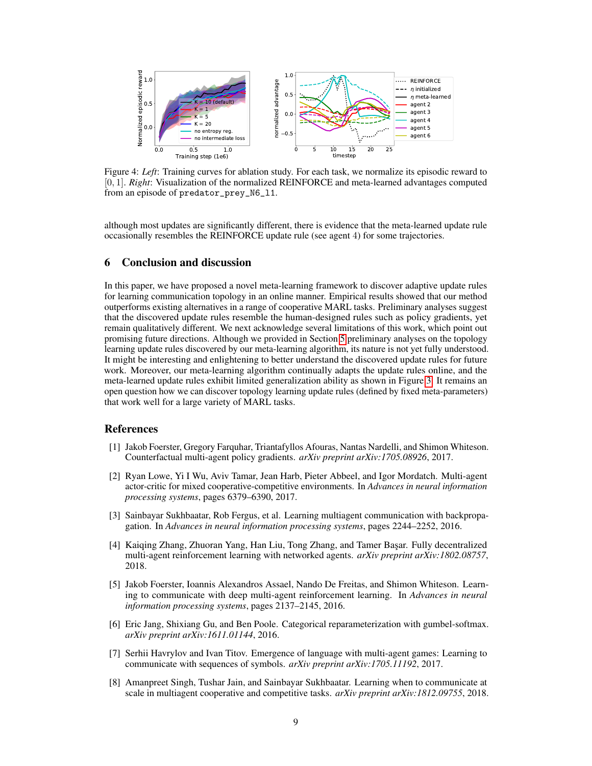<span id="page-9-8"></span>

Figure 4: *Left*: Training curves for ablation study. For each task, we normalize its episodic reward to [0, 1]. *Right*: Visualization of the normalized REINFORCE and meta-learned advantages computed from an episode of predator\_prey\_N6\_l1.

although most updates are significantly different, there is evidence that the meta-learned update rule occasionally resembles the REINFORCE update rule (see agent 4) for some trajectories.

#### 6 Conclusion and discussion

In this paper, we have proposed a novel meta-learning framework to discover adaptive update rules for learning communication topology in an online manner. Empirical results showed that our method outperforms existing alternatives in a range of cooperative MARL tasks. Preliminary analyses suggest that the discovered update rules resemble the human-designed rules such as policy gradients, yet remain qualitatively different. We next acknowledge several limitations of this work, which point out promising future directions. Although we provided in Section [5](#page-6-0) preliminary analyses on the topology learning update rules discovered by our meta-learning algorithm, its nature is not yet fully understood. It might be interesting and enlightening to better understand the discovered update rules for future work. Moreover, our meta-learning algorithm continually adapts the update rules online, and the meta-learned update rules exhibit limited generalization ability as shown in Figure [3.](#page-8-2) It remains an open question how we can discover topology learning update rules (defined by fixed meta-parameters) that work well for a large variety of MARL tasks.

### References

- <span id="page-9-0"></span>[1] Jakob Foerster, Gregory Farquhar, Triantafyllos Afouras, Nantas Nardelli, and Shimon Whiteson. Counterfactual multi-agent policy gradients. *arXiv preprint arXiv:1705.08926*, 2017.
- <span id="page-9-1"></span>[2] Ryan Lowe, Yi I Wu, Aviv Tamar, Jean Harb, Pieter Abbeel, and Igor Mordatch. Multi-agent actor-critic for mixed cooperative-competitive environments. In *Advances in neural information processing systems*, pages 6379–6390, 2017.
- <span id="page-9-2"></span>[3] Sainbayar Sukhbaatar, Rob Fergus, et al. Learning multiagent communication with backpropagation. In *Advances in neural information processing systems*, pages 2244–2252, 2016.
- <span id="page-9-3"></span>[4] Kaiqing Zhang, Zhuoran Yang, Han Liu, Tong Zhang, and Tamer Başar. Fully decentralized multi-agent reinforcement learning with networked agents. *arXiv preprint arXiv:1802.08757*, 2018.
- <span id="page-9-4"></span>[5] Jakob Foerster, Ioannis Alexandros Assael, Nando De Freitas, and Shimon Whiteson. Learning to communicate with deep multi-agent reinforcement learning. In *Advances in neural information processing systems*, pages 2137–2145, 2016.
- <span id="page-9-5"></span>[6] Eric Jang, Shixiang Gu, and Ben Poole. Categorical reparameterization with gumbel-softmax. *arXiv preprint arXiv:1611.01144*, 2016.
- <span id="page-9-6"></span>[7] Serhii Havrylov and Ivan Titov. Emergence of language with multi-agent games: Learning to communicate with sequences of symbols. *arXiv preprint arXiv:1705.11192*, 2017.
- <span id="page-9-7"></span>[8] Amanpreet Singh, Tushar Jain, and Sainbayar Sukhbaatar. Learning when to communicate at scale in multiagent cooperative and competitive tasks. *arXiv preprint arXiv:1812.09755*, 2018.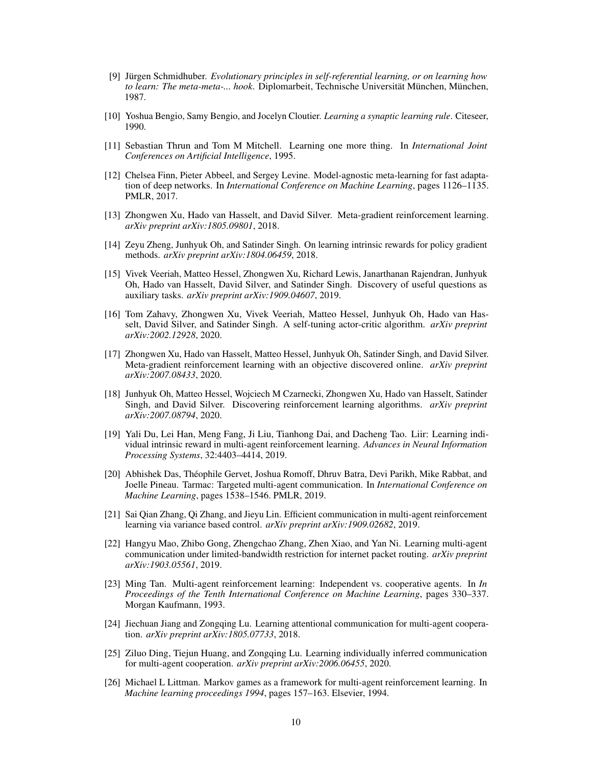- <span id="page-10-0"></span>[9] Jürgen Schmidhuber. *Evolutionary principles in self-referential learning, or on learning how to learn: The meta-meta-... hook*. Diplomarbeit, Technische Universität München, München, 1987.
- <span id="page-10-1"></span>[10] Yoshua Bengio, Samy Bengio, and Jocelyn Cloutier. *Learning a synaptic learning rule*. Citeseer, 1990.
- <span id="page-10-2"></span>[11] Sebastian Thrun and Tom M Mitchell. Learning one more thing. In *International Joint Conferences on Artificial Intelligence*, 1995.
- <span id="page-10-3"></span>[12] Chelsea Finn, Pieter Abbeel, and Sergey Levine. Model-agnostic meta-learning for fast adaptation of deep networks. In *International Conference on Machine Learning*, pages 1126–1135. PMLR, 2017.
- <span id="page-10-4"></span>[13] Zhongwen Xu, Hado van Hasselt, and David Silver. Meta-gradient reinforcement learning. *arXiv preprint arXiv:1805.09801*, 2018.
- <span id="page-10-5"></span>[14] Zeyu Zheng, Junhyuk Oh, and Satinder Singh. On learning intrinsic rewards for policy gradient methods. *arXiv preprint arXiv:1804.06459*, 2018.
- <span id="page-10-6"></span>[15] Vivek Veeriah, Matteo Hessel, Zhongwen Xu, Richard Lewis, Janarthanan Rajendran, Junhyuk Oh, Hado van Hasselt, David Silver, and Satinder Singh. Discovery of useful questions as auxiliary tasks. *arXiv preprint arXiv:1909.04607*, 2019.
- <span id="page-10-7"></span>[16] Tom Zahavy, Zhongwen Xu, Vivek Veeriah, Matteo Hessel, Junhyuk Oh, Hado van Hasselt, David Silver, and Satinder Singh. A self-tuning actor-critic algorithm. *arXiv preprint arXiv:2002.12928*, 2020.
- <span id="page-10-8"></span>[17] Zhongwen Xu, Hado van Hasselt, Matteo Hessel, Junhyuk Oh, Satinder Singh, and David Silver. Meta-gradient reinforcement learning with an objective discovered online. *arXiv preprint arXiv:2007.08433*, 2020.
- <span id="page-10-9"></span>[18] Junhyuk Oh, Matteo Hessel, Wojciech M Czarnecki, Zhongwen Xu, Hado van Hasselt, Satinder Singh, and David Silver. Discovering reinforcement learning algorithms. *arXiv preprint arXiv:2007.08794*, 2020.
- <span id="page-10-10"></span>[19] Yali Du, Lei Han, Meng Fang, Ji Liu, Tianhong Dai, and Dacheng Tao. Liir: Learning individual intrinsic reward in multi-agent reinforcement learning. *Advances in Neural Information Processing Systems*, 32:4403–4414, 2019.
- <span id="page-10-11"></span>[20] Abhishek Das, Théophile Gervet, Joshua Romoff, Dhruv Batra, Devi Parikh, Mike Rabbat, and Joelle Pineau. Tarmac: Targeted multi-agent communication. In *International Conference on Machine Learning*, pages 1538–1546. PMLR, 2019.
- <span id="page-10-12"></span>[21] Sai Qian Zhang, Qi Zhang, and Jieyu Lin. Efficient communication in multi-agent reinforcement learning via variance based control. *arXiv preprint arXiv:1909.02682*, 2019.
- <span id="page-10-13"></span>[22] Hangyu Mao, Zhibo Gong, Zhengchao Zhang, Zhen Xiao, and Yan Ni. Learning multi-agent communication under limited-bandwidth restriction for internet packet routing. *arXiv preprint arXiv:1903.05561*, 2019.
- <span id="page-10-14"></span>[23] Ming Tan. Multi-agent reinforcement learning: Independent vs. cooperative agents. In *In Proceedings of the Tenth International Conference on Machine Learning*, pages 330–337. Morgan Kaufmann, 1993.
- <span id="page-10-15"></span>[24] Jiechuan Jiang and Zongqing Lu. Learning attentional communication for multi-agent cooperation. *arXiv preprint arXiv:1805.07733*, 2018.
- <span id="page-10-16"></span>[25] Ziluo Ding, Tiejun Huang, and Zongqing Lu. Learning individually inferred communication for multi-agent cooperation. *arXiv preprint arXiv:2006.06455*, 2020.
- <span id="page-10-17"></span>[26] Michael L Littman. Markov games as a framework for multi-agent reinforcement learning. In *Machine learning proceedings 1994*, pages 157–163. Elsevier, 1994.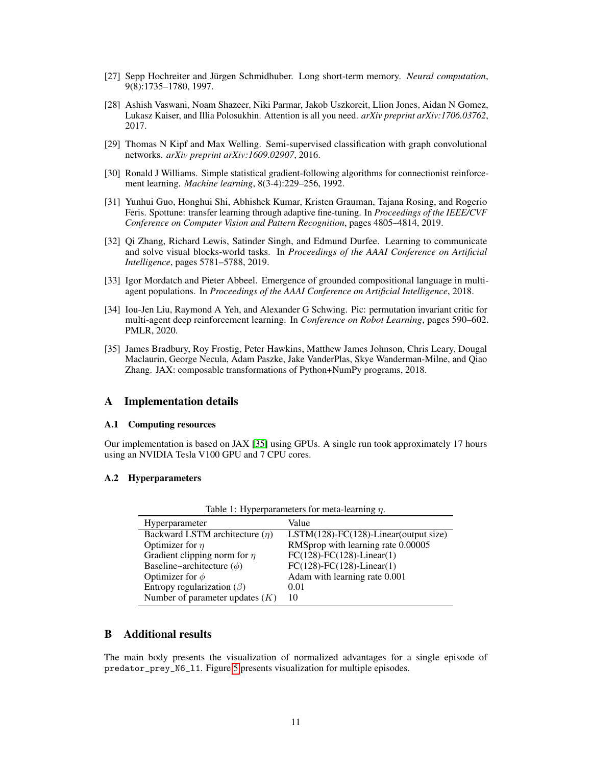- <span id="page-11-0"></span>[27] Sepp Hochreiter and Jürgen Schmidhuber. Long short-term memory. *Neural computation*, 9(8):1735–1780, 1997.
- <span id="page-11-1"></span>[28] Ashish Vaswani, Noam Shazeer, Niki Parmar, Jakob Uszkoreit, Llion Jones, Aidan N Gomez, Lukasz Kaiser, and Illia Polosukhin. Attention is all you need. *arXiv preprint arXiv:1706.03762*, 2017.
- <span id="page-11-2"></span>[29] Thomas N Kipf and Max Welling. Semi-supervised classification with graph convolutional networks. *arXiv preprint arXiv:1609.02907*, 2016.
- <span id="page-11-3"></span>[30] Ronald J Williams. Simple statistical gradient-following algorithms for connectionist reinforcement learning. *Machine learning*, 8(3-4):229–256, 1992.
- <span id="page-11-4"></span>[31] Yunhui Guo, Honghui Shi, Abhishek Kumar, Kristen Grauman, Tajana Rosing, and Rogerio Feris. Spottune: transfer learning through adaptive fine-tuning. In *Proceedings of the IEEE/CVF Conference on Computer Vision and Pattern Recognition*, pages 4805–4814, 2019.
- <span id="page-11-5"></span>[32] Qi Zhang, Richard Lewis, Satinder Singh, and Edmund Durfee. Learning to communicate and solve visual blocks-world tasks. In *Proceedings of the AAAI Conference on Artificial Intelligence*, pages 5781–5788, 2019.
- <span id="page-11-6"></span>[33] Igor Mordatch and Pieter Abbeel. Emergence of grounded compositional language in multiagent populations. In *Proceedings of the AAAI Conference on Artificial Intelligence*, 2018.
- <span id="page-11-7"></span>[34] Iou-Jen Liu, Raymond A Yeh, and Alexander G Schwing. Pic: permutation invariant critic for multi-agent deep reinforcement learning. In *Conference on Robot Learning*, pages 590–602. PMLR, 2020.
- <span id="page-11-8"></span>[35] James Bradbury, Roy Frostig, Peter Hawkins, Matthew James Johnson, Chris Leary, Dougal Maclaurin, George Necula, Adam Paszke, Jake VanderPlas, Skye Wanderman-Milne, and Qiao Zhang. JAX: composable transformations of Python+NumPy programs, 2018.

# A Implementation details

#### A.1 Computing resources

Our implementation is based on JAX [\[35\]](#page-11-8) using GPUs. A single run took approximately 17 hours using an NVIDIA Tesla V100 GPU and 7 CPU cores.

#### A.2 Hyperparameters

| Hyperparameter                      | Value                                       |
|-------------------------------------|---------------------------------------------|
| Backward LSTM architecture $(\eta)$ | $LSTM(128) - FC(128) - Linear(output size)$ |
| Optimizer for $\eta$                | RMSprop with learning rate 0.00005          |
| Gradient clipping norm for $\eta$   | $FC(128) - FC(128) - Linear(1)$             |
| Baseline~architecture $(\phi)$      | $FC(128) - FC(128) - Linear(1)$             |
| Optimizer for $\phi$                | Adam with learning rate 0.001               |
| Entropy regularization ( $\beta$ )  | 0.01                                        |
| Number of parameter updates $(K)$   | 10                                          |

Table 1: Hyperparameters for meta-learning  $\eta$ .

### B Additional results

The main body presents the visualization of normalized advantages for a single episode of predator\_prey\_N6\_l1. Figure [5](#page-12-0) presents visualization for multiple episodes.